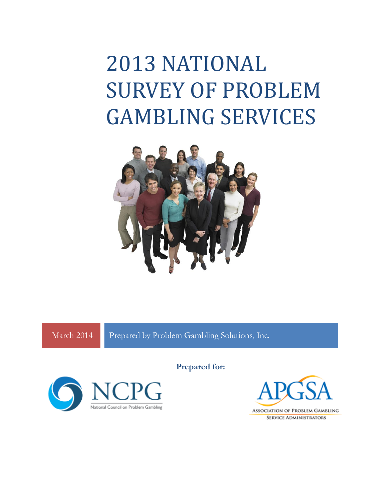## 2013 NATIONAL SURVEY OF PROBLEM GAMBLING SERVICES



March 2014 Prepared by Problem Gambling Solutions, Inc.



Prepared for:



**SERVICE ADMINISTRATORS**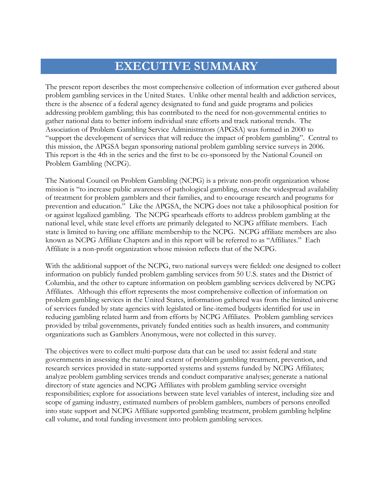## **EXECUTIVE SUMMARY**

The present report describes the most comprehensive collection of information ever gathered about problem gambling services in the United States. Unlike other mental health and addiction services, there is the absence of a federal agency designated to fund and guide programs and policies addressing problem gambling; this has contributed to the need for non-governmental entities to gather national data to better inform individual state efforts and track national trends. The Association of Problem Gambling Service Administrators (APGSA) was formed in 2000 to "support the development of services that will reduce the impact of problem gambling". Central to this mission, the APGSA began sponsoring national problem gambling service surveys in 2006. This report is the 4th in the series and the first to be co-sponsored by the National Council on Problem Gambling (NCPG).

The National Council on Problem Gambling (NCPG) is a private non-profit organization whose mission is "to increase public awareness of pathological gambling, ensure the widespread availability of treatment for problem gamblers and their families, and to encourage research and programs for prevention and education." Like the APGSA, the NCPG does not take a philosophical position for or against legalized gambling. The NCPG spearheads efforts to address problem gambling at the national level, while state level efforts are primarily delegated to NCPG affiliate members. Each state is limited to having one affiliate membership to the NCPG. NCPG affiliate members are also known as NCPG Affiliate Chapters and in this report will be referred to as "Affiliates." Each Affiliate is a non-profit organization whose mission reflects that of the NCPG.

With the additional support of the NCPG, two national surveys were fielded: one designed to collect information on publicly funded problem gambling services from 50 U.S. states and the District of Columbia, and the other to capture information on problem gambling services delivered by NCPG Affiliates. Although this effort represents the most comprehensive collection of information on problem gambling services in the United States, information gathered was from the limited universe of services funded by state agencies with legislated or line-itemed budgets identified for use in reducing gambling related harm and from efforts by NCPG Affiliates. Problem gambling services provided by tribal governments, privately funded entities such as health insurers, and community organizations such as Gamblers Anonymous, were not collected in this survey.

The objectives were to collect multi-purpose data that can be used to: assist federal and state governments in assessing the nature and extent of problem gambling treatment, prevention, and research services provided in state-supported systems and systems funded by NCPG Affiliates; analyze problem gambling services trends and conduct comparative analyses; generate a national directory of state agencies and NCPG Affiliates with problem gambling service oversight responsibilities; explore for associations between state level variables of interest, including size and scope of gaming industry, estimated numbers of problem gamblers, numbers of persons enrolled into state support and NCPG Affiliate supported gambling treatment, problem gambling helpline call volume, and total funding investment into problem gambling services.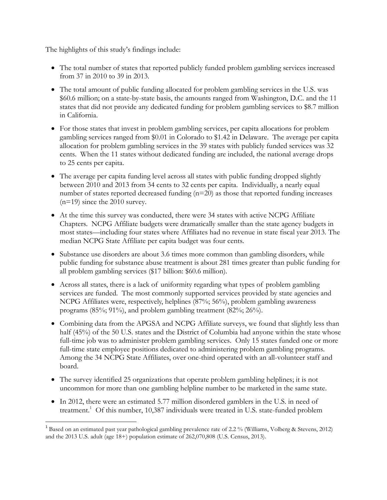The highlights of this study's findings include:

 $\overline{\phantom{a}}$ 

- The total number of states that reported publicly funded problem gambling services increased from 37 in 2010 to 39 in 2013.
- The total amount of public funding allocated for problem gambling services in the U.S. was \$60.6 million; on a state-by-state basis, the amounts ranged from Washington, D.C. and the 11 states that did not provide any dedicated funding for problem gambling services to \$8.7 million in California.
- For those states that invest in problem gambling services, per capita allocations for problem gambling services ranged from \$0.01 in Colorado to \$1.42 in Delaware. The average per capita allocation for problem gambling services in the 39 states with publicly funded services was 32 cents. When the 11 states without dedicated funding are included, the national average drops to 25 cents per capita.
- The average per capita funding level across all states with public funding dropped slightly between 2010 and 2013 from 34 cents to 32 cents per capita. Individually, a nearly equal number of states reported decreased funding  $(n=20)$  as those that reported funding increases (n=19) since the 2010 survey.
- At the time this survey was conducted, there were 34 states with active NCPG Affiliate Chapters. NCPG Affiliate budgets were dramatically smaller than the state agency budgets in most states—including four states where Affiliates had no revenue in state fiscal year 2013. The median NCPG State Affiliate per capita budget was four cents.
- Substance use disorders are about 3.6 times more common than gambling disorders, while public funding for substance abuse treatment is about 281 times greater than public funding for all problem gambling services (\$17 billion: \$60.6 million).
- Across all states, there is a lack of uniformity regarding what types of problem gambling services are funded. The most commonly supported services provided by state agencies and NCPG Affiliates were, respectively, helplines (87%; 56%), problem gambling awareness programs (85%; 91%), and problem gambling treatment (82%; 26%).
- Combining data from the APGSA and NCPG Affiliate surveys, we found that slightly less than half (45%) of the 50 U.S. states and the District of Columbia had anyone within the state whose full-time job was to administer problem gambling services. Only 15 states funded one or more full-time state employee positions dedicated to administering problem gambling programs. Among the 34 NCPG State Affiliates, over one-third operated with an all-volunteer staff and board.
- The survey identified 25 organizations that operate problem gambling helplines; it is not uncommon for more than one gambling helpline number to be marketed in the same state.
- In 2012, there were an estimated 5.77 million disordered gamblers in the U.S. in need of treatment.<sup>1</sup> Of this number, 10,387 individuals were treated in U.S. state-funded problem

<sup>&</sup>lt;sup>1</sup> Based on an estimated past year pathological gambling prevalence rate of 2.2 % (Williams, Volberg & Stevens, 2012) and the 2013 U.S. adult (age 18+) population estimate of 262,070,808 (U.S. Census, 2013).